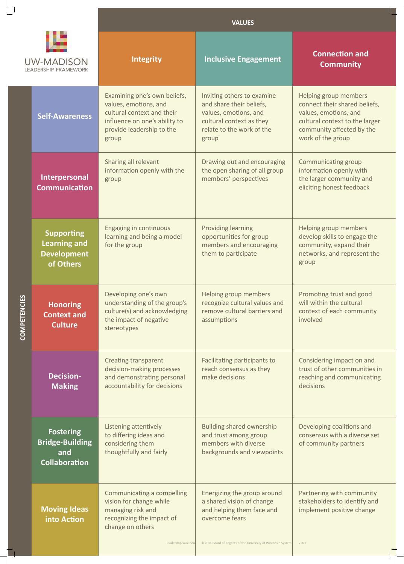|                                                                             | <b>VALUES</b>                                                                                                                                              |                                                                                                                                                                          |                                                                                                                                                                     |
|-----------------------------------------------------------------------------|------------------------------------------------------------------------------------------------------------------------------------------------------------|--------------------------------------------------------------------------------------------------------------------------------------------------------------------------|---------------------------------------------------------------------------------------------------------------------------------------------------------------------|
|                                                                             | Integrity                                                                                                                                                  | <b>Inclusive Engagement</b>                                                                                                                                              | <b>Connection and</b><br><b>Community</b>                                                                                                                           |
| <b>Self-Awareness</b>                                                       | Examining one's own beliefs,<br>values, emotions, and<br>cultural context and their<br>influence on one's ability to<br>provide leadership to the<br>group | Inviting others to examine<br>and share their beliefs,<br>values, emotions, and<br>cultural context as they<br>relate to the work of the<br>group                        | Helping group members<br>connect their shared beliefs,<br>values, emotions, and<br>cultural context to the larger<br>community affected by the<br>work of the group |
| Interpersonal<br><b>Communication</b>                                       | Sharing all relevant<br>information openly with the<br>group                                                                                               | Drawing out and encouraging<br>the open sharing of all group<br>members' perspectives                                                                                    | <b>Communicating group</b><br>information openly with<br>the larger community and<br>eliciting honest feedback                                                      |
| <b>Supporting</b><br><b>Learning and</b><br><b>Development</b><br>of Others | <b>Engaging in continuous</b><br>learning and being a model<br>for the group                                                                               | <b>Providing learning</b><br>opportunities for group<br>members and encouraging<br>them to participate                                                                   | Helping group members<br>develop skills to engage the<br>community, expand their<br>networks, and represent the<br>group                                            |
| <b>Honoring</b><br><b>Context and</b><br><b>Culture</b>                     | Developing one's own<br>understanding of the group's<br>culture(s) and acknowledging<br>the impact of negative<br>stereotypes                              | Helping group members<br>recognize cultural values and<br>remove cultural barriers and<br>assumptions                                                                    | Promoting trust and good<br>will within the cultural<br>context of each community<br>involved                                                                       |
| <b>Decision-</b><br><b>Making</b>                                           | <b>Creating transparent</b><br>decision-making processes<br>and demonstrating personal<br>accountability for decisions                                     | Facilitating participants to<br>reach consensus as they<br>make decisions                                                                                                | Considering impact on and<br>trust of other communities in<br>reaching and communicating<br>decisions                                                               |
| <b>Fostering</b><br><b>Bridge-Building</b><br>and<br><b>Collaboration</b>   | Listening attentively<br>to differing ideas and<br>considering them<br>thoughtfully and fairly                                                             | <b>Building shared ownership</b><br>and trust among group<br>members with diverse<br>backgrounds and viewpoints                                                          | Developing coalitions and<br>consensus with a diverse set<br>of community partners                                                                                  |
| <b>Moving Ideas</b><br>into Action                                          | <b>Communicating a compelling</b><br>vision for change while<br>managing risk and<br>recognizing the impact of<br>change on others<br>leadership.wisc.edu  | Energizing the group around<br>a shared vision of change<br>and helping them face and<br>overcome fears<br>© 2016 Board of Regents of the University of Wisconsin System | Partnering with community<br>stakeholders to identify and<br>implement positive change<br>V16.1                                                                     |
|                                                                             | <b>UW-MADISON</b><br><b>LEADERSHIP FRAMEWORK</b>                                                                                                           |                                                                                                                                                                          |                                                                                                                                                                     |

 $-\frac{1}{1}$